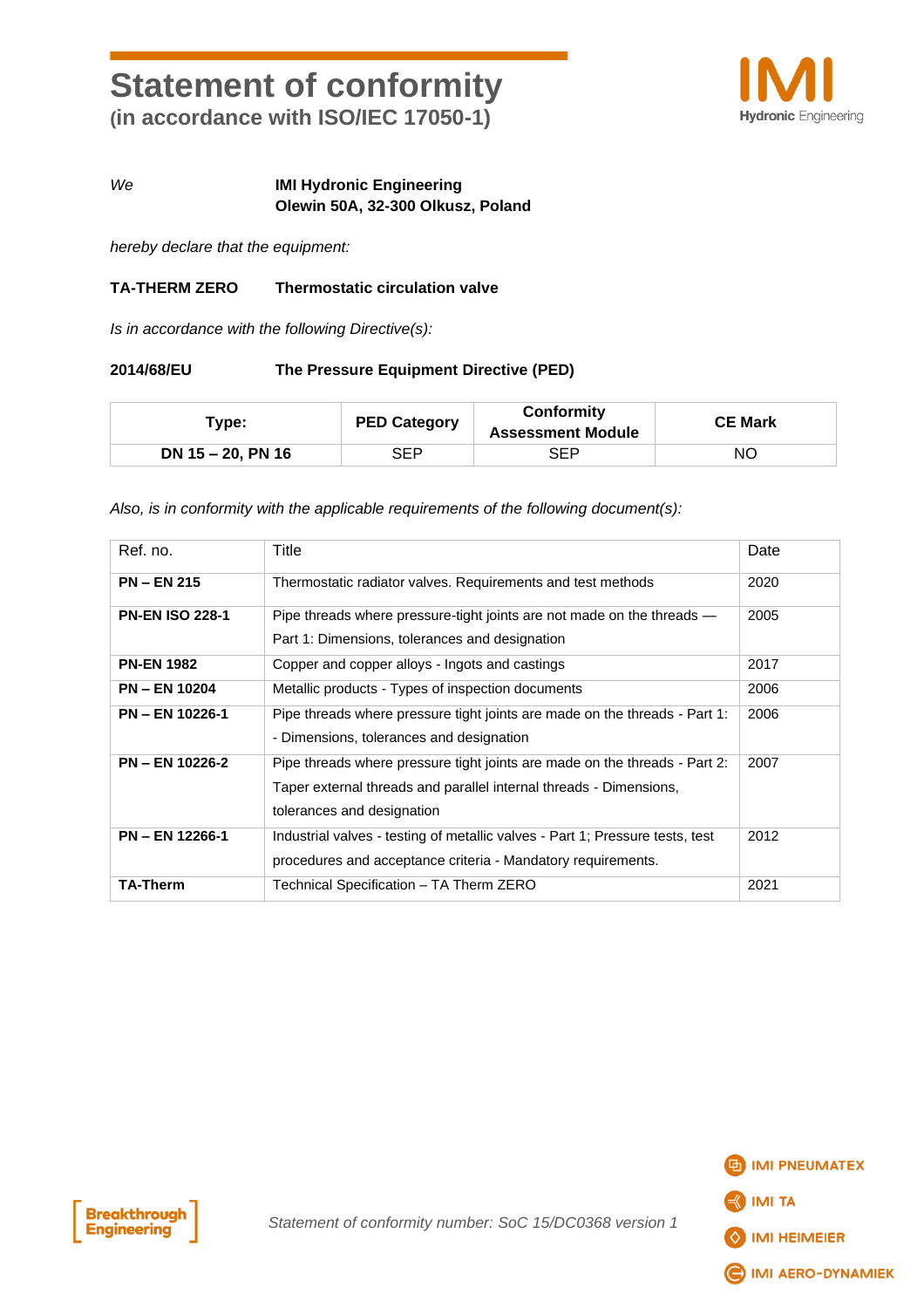# **Statement of conformity (in accordance with ISO/IEC 17050-1)**



### *We* **IMI Hydronic Engineering Olewin 50A, 32-300 Olkusz, Poland**

*hereby declare that the equipment:*

#### **TA-THERM ZERO Thermostatic circulation valve**

*Is in accordance with the following Directive(s):*

#### **2014/68/EU The Pressure Equipment Directive (PED)**

| Type:             | <b>PED Category</b> | Conformity<br><b>Assessment Module</b> | <b>CE Mark</b> |
|-------------------|---------------------|----------------------------------------|----------------|
| DN 15 - 20, PN 16 | SEP                 | SEP                                    | NΟ             |

*Also, is in conformity with the applicable requirements of the following document(s):*

| Ref. no.               | Title                                                                                                                                                                          | Date |
|------------------------|--------------------------------------------------------------------------------------------------------------------------------------------------------------------------------|------|
| <b>PN-EN 215</b>       | Thermostatic radiator valves. Requirements and test methods                                                                                                                    | 2020 |
| <b>PN-EN ISO 228-1</b> | Pipe threads where pressure-tight joints are not made on the threads —<br>Part 1: Dimensions, tolerances and designation                                                       | 2005 |
| <b>PN-EN 1982</b>      | Copper and copper alloys - Ingots and castings                                                                                                                                 | 2017 |
| <b>PN - EN 10204</b>   | Metallic products - Types of inspection documents                                                                                                                              | 2006 |
| <b>PN - EN 10226-1</b> | Pipe threads where pressure tight joints are made on the threads - Part 1:<br>- Dimensions, tolerances and designation                                                         | 2006 |
| <b>PN - EN 10226-2</b> | Pipe threads where pressure tight joints are made on the threads - Part 2:<br>Taper external threads and parallel internal threads - Dimensions,<br>tolerances and designation | 2007 |
| <b>PN - EN 12266-1</b> | Industrial valves - testing of metallic valves - Part 1; Pressure tests, test<br>procedures and acceptance criteria - Mandatory requirements.                                  | 2012 |
| <b>TA-Therm</b>        | Technical Specification - TA Therm ZERO                                                                                                                                        | 2021 |